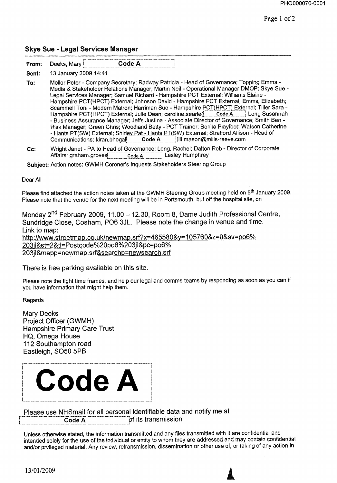### **Skye Sue - Legal Services Manager**

| А<br>. .<br>-<br>. Marv<br>⊃eek∘<br>$\overline{r}$<br>rrom:<br>_.__._ | ---- |
|-----------------------------------------------------------------------|------|
|-----------------------------------------------------------------------|------|

**To:** Mellor Peter - Company Secretary; Radway Patricia - Head of Governance; Topping Emma - Media & Stakeholder Relations Manager; Martin Neil - Operational Manager DMOP; Skye Sue - Legal Services Manager; Samuel Richard - Hampshire PCT External; Williams Elaine - Hampshire PCT(HPCT) External; Johnson David - Hampshire PCT External; Emms, Elizabeth; Scammell Toni - Modern Matron; Harriman Sue - Hampshire PCT(HPCT) External; Tiller Sara -Hampshire PCT(HPCT) External; Julie Dean; caroline.searle(\_\_\_\_\_Code A\_\_\_\_\_] Long Susannah **-** Business Assurance Manager; Jeffs Justina - Associate Director of Governance; Smith Ben - Risk Manager; Green Chris; Woodland Betty - PCT Trainer; Benita Playfoot; Watson Catherine - Hants PT(SW) External; Shir<u>ley Pat - Hants PT(S</u>W) External; Stratford Allison - Head of<br>Communications; kiran.bhogal<mark>i \_\_\_\_\_Code A \_\_\_\_\_</mark> jill.mason@mills-reeve.com

**Cc:** Wright Janet - PA to Head of Governance; Long, Rachel; Dalton Rob - Director of Corporate Affairs; graham.groves[integrated] Code A integral Lesley Humphrey

**Subject:** Action notes: GWMH Coroner's Inquests Stakeholders Steering Group

Dear All

Please find attached the action notes taken at the GWMH Steering Group meeting held on 5<sup>th</sup> January 2009. Please note that the venue for the next meeting will be in Portsmouth, but off the hospital site, on

Monday 2<sup>nd</sup> February 2009, 11.00 - 12.30, Room 8, Dame Judith Professional Centre, Sundridge Close, Cosham, PO6 3JL. Please note the change in venue and time. Link to map: http://www.streetmap.co.uk/newmap.srf?x=465580&y=105760&z=0&sv=po6% 203jl&st=2&tl=Postcode%20po6%203jl&pc=po6% 203jl&mapp=newmap.srf&searchp=newsearch.srf

There is free parking available on this site.

Please note the tight time frames, and help our legal and comms teams by responding as soon as you can if you have information that might help them.

Regards

Mary Deeks Project Officer (GWMH) Hampshire Primary Care Trust HQ, Omega House 112 Southampton road Eastleigh, SO50 5PB



Please use NHSmail for all personal identifiable data and notify me at Code A of its transmission

Unless otherwise stated, the information transmitted and any files transmitted with it are confidential and intended solely for the use of the individual or entity to whom they are addressed and may contain confidential and/or prvileged material. Any review, retransmission, dissemination or other use of, or taking of any action in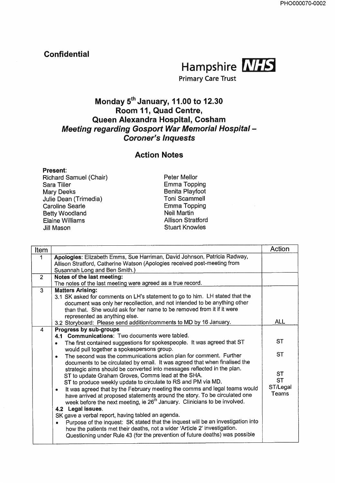# **Confidential**



**Primary Care Trust**

# **Monday 5th January, 11.00 to 12.30 Room 11, Quad Centre, Queen Alexandra Hospital, Cosham Meeting regarding Gosport War Memorial Hospital - Coroner's Inquests**

## **Action Notes**

**Present:** Richard Samuel (Chair) Sara Tiller Mary Deeks Julie Dean (Trimedia) Caroline Searle Betty Woodland Elaine Williams Jill Mason

Peter Mellor Emma Topping Benita Playfoot Toni Scammell Emma Topping Nell Martin Allison Stratford Stuart Knowles

|                                                                                                                                                                                                                                                                                                                                                                                                                                                                                                                                                                                                                                                                                                                                                                                                                                                                        | Action                                                                                                                                                                                                                                                                                                                                                                                                       |
|------------------------------------------------------------------------------------------------------------------------------------------------------------------------------------------------------------------------------------------------------------------------------------------------------------------------------------------------------------------------------------------------------------------------------------------------------------------------------------------------------------------------------------------------------------------------------------------------------------------------------------------------------------------------------------------------------------------------------------------------------------------------------------------------------------------------------------------------------------------------|--------------------------------------------------------------------------------------------------------------------------------------------------------------------------------------------------------------------------------------------------------------------------------------------------------------------------------------------------------------------------------------------------------------|
| Apologies: Elizabeth Emms, Sue Harriman, David Johnson, Patricia Radway,<br>Allison Stratford, Catherine Watson (Apologies received post-meeting from<br>Susannah Long and Ben Smith.)                                                                                                                                                                                                                                                                                                                                                                                                                                                                                                                                                                                                                                                                                 |                                                                                                                                                                                                                                                                                                                                                                                                              |
| Notes of the last meeting:                                                                                                                                                                                                                                                                                                                                                                                                                                                                                                                                                                                                                                                                                                                                                                                                                                             |                                                                                                                                                                                                                                                                                                                                                                                                              |
| <b>Matters Arising:</b><br>3.1 SK asked for comments on LH's statement to go to him. LH stated that the<br>document was only her recollection, and not intended to be anything other<br>than that. She would ask for her name to be removed from it if it were<br>represented as anything else.                                                                                                                                                                                                                                                                                                                                                                                                                                                                                                                                                                        | <b>ALL</b>                                                                                                                                                                                                                                                                                                                                                                                                   |
|                                                                                                                                                                                                                                                                                                                                                                                                                                                                                                                                                                                                                                                                                                                                                                                                                                                                        |                                                                                                                                                                                                                                                                                                                                                                                                              |
| 4.1 Communications: Two documents were tabled.<br>The first contained suggestions for spokespeople. It was agreed that ST<br>would pull together a spokespersons group.<br>The second was the communications action plan for comment. Further<br>٠<br>documents to be circulated by email. It was agreed that when finalised the<br>strategic aims should be converted into messages reflected in the plan.<br>ST to update Graham Groves, Comms lead at the SHA.<br>ST to produce weekly update to circulate to RS and PM via MD.<br>It was agreed that by the February meeting the comms and legal teams would<br>۰<br>have arrived at proposed statements around the story. To be circulated one<br>week before the next meeting, ie 26 <sup>th</sup> January. Clinicians to be involved.<br>4.2 Legal issues.<br>SK gave a verbal report, having tabled an agenda. | <b>ST</b><br><b>ST</b><br><b>ST</b><br><b>ST</b><br>ST/Legal<br>Teams                                                                                                                                                                                                                                                                                                                                        |
|                                                                                                                                                                                                                                                                                                                                                                                                                                                                                                                                                                                                                                                                                                                                                                                                                                                                        | The notes of the last meeting were agreed as a true record.<br>3.2 Storyboard: Please send addition/comments to MD by 16 January.<br>Progress by sub-groups<br>Purpose of the inquest: SK stated that the inquest will be an investigation into<br>how the patients met their deaths, not a wider 'Article 2' investigation.<br>Questioning under Rule 43 (for the prevention of future deaths) was possible |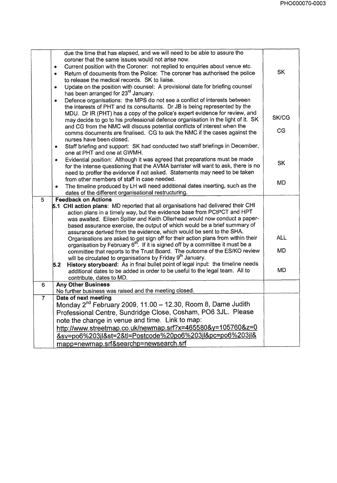|                | due the time that has elapsed, and we will need to be able to assure the                                                                                 |              |
|----------------|----------------------------------------------------------------------------------------------------------------------------------------------------------|--------------|
|                | coroner that the same issues would not arise now.                                                                                                        |              |
|                | Current position with the Coroner: not replied to enquiries about venue etc.<br>۰                                                                        |              |
|                | Return of documents from the Police: The coroner has authorised the police<br>۰                                                                          | <b>SK</b>    |
|                | to release the medical records. SK to liaise.                                                                                                            |              |
|                | Update on the position with counsel: A provisional date for briefing counsel<br>$\bullet$                                                                |              |
|                | has been arranged for 23 <sup>rd</sup> January.                                                                                                          |              |
|                | Defence organisations: the MPS do not see a conflict of interests between<br>$\bullet$                                                                   |              |
|                | the interests of PHT and its consultants. Dr JB is being represented by the                                                                              |              |
|                | MDU. Dr IR (PHT) has a copy of the police's expert evidence for review, and                                                                              | <b>SK/CG</b> |
|                | may decide to go to his professional defence organisation in the light of it. SK                                                                         |              |
|                | and CG from the NMC will discuss potential conflicts of interest when the                                                                                | CG           |
|                | comms documents are finalised. CG to ask the NMC if the cases against the                                                                                |              |
|                | nurses have been closed.                                                                                                                                 |              |
|                | Staff briefing and support: SK had conducted two staff briefings in December,<br>۰                                                                       |              |
|                | one at PHT and one at GWMH.<br>Evidential position: Although it was agreed that preparations must be made<br>$\bullet$                                   |              |
|                | for the intense questioning that the AVMA barrister will want to ask, there is no                                                                        | <b>SK</b>    |
|                | need to proffer the evidence if not asked. Statements may need to be taken                                                                               |              |
|                | from other members of staff in case needed.                                                                                                              |              |
|                | The timeline produced by LH will need additional dates inserting, such as the<br>$\bullet$                                                               | <b>MD</b>    |
|                | dates of the different organisational restructuring.                                                                                                     |              |
| 5              | <b>Feedback on Actions</b>                                                                                                                               |              |
|                | 5.1 CHI action plans: MD reported that all organisations had delivered their CHI                                                                         |              |
|                | action plans in a timely way, but the evidence base from PCtPCT and HPT                                                                                  |              |
|                | was awaited. Eileen Spiller and Keith Ollerhead would now conduct a paper-                                                                               |              |
|                | based assurance exercise, the output of which would be a brief summary of                                                                                |              |
|                | assurance derived from the evidence, which would be sent to the SHA.<br>Organisations are asked to get sign off for their action plans from within their | <b>ALL</b>   |
|                | organisation by February 6 <sup>th</sup> . If it is signed off by a committee it must be a                                                               |              |
|                | committee that reports to the Trust Board. The outcome of the ES/KO review                                                                               | <b>MD</b>    |
|                | will be circulated to organisations by Friday 9 <sup>th</sup> January.                                                                                   |              |
|                | History storyboard: As in final bullet point of legal input: the timeline needs<br>5.2                                                                   |              |
|                | additional dates to be added in order to be useful to the legal team. All to                                                                             | MD           |
|                | contribute, dates to MD.                                                                                                                                 |              |
| 6 <sup>1</sup> | <b>Any Other Business</b>                                                                                                                                |              |
|                | No further business was raised and the meeting closed.                                                                                                   |              |
| $\overline{7}$ | Date of next meeting                                                                                                                                     |              |
|                | Monday 2 <sup>nd</sup> February 2009, 11.00 - 12.30, Room 8, Dame Judith                                                                                 |              |
|                | Professional Centre, Sundridge Close, Cosham, PO6 3JL. Please                                                                                            |              |
|                | note the change in venue and time. Link to map:                                                                                                          |              |
|                | http://www.streetmap.co.uk/newmap.srf?x=465580&y=105760&z=0                                                                                              |              |
|                | <u>&amp;sv=po6%203jl&amp;st=2&amp;tl=Postcode%20po6%203jl&amp;pc=po6%203jl&amp;</u>                                                                      |              |
|                | mapp=newmap.srf&searchp=newsearch.srf                                                                                                                    |              |